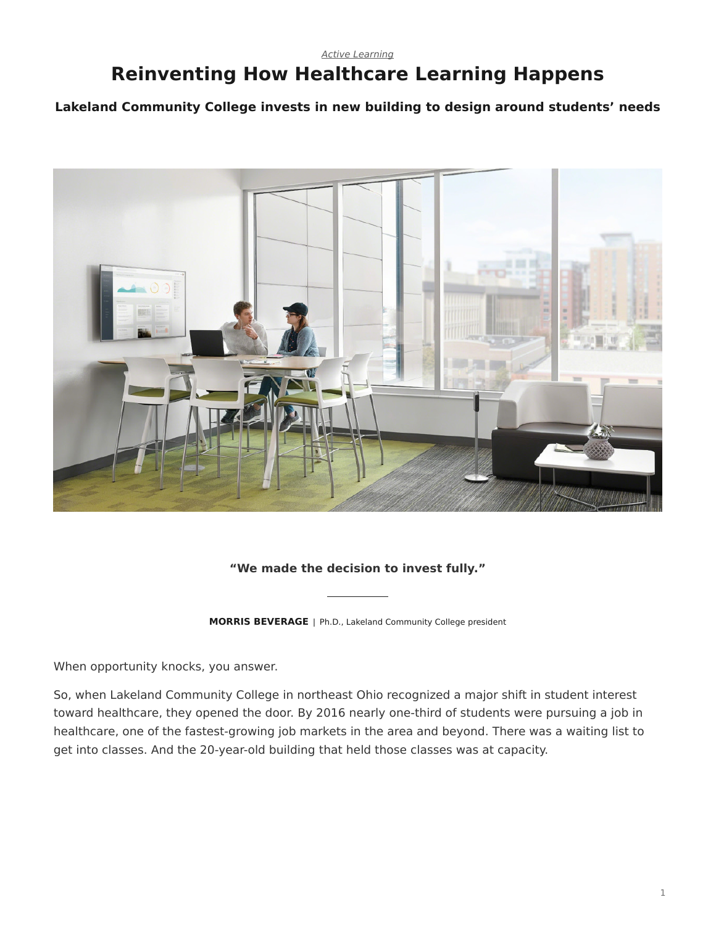### *[Active Learning](https://www.steelcase.com/eu-en/research/topics/active-learning/)* **Reinventing How Healthcare Learning Happens**

**Lakeland Community College invests in new building to design around students' needs**



#### **"We made the decision to invest fully."**

**MORRIS BEVERAGE** | Ph.D., Lakeland Community College president

When opportunity knocks, you answer.

So, when Lakeland Community College in northeast Ohio recognized a major shift in student interest toward healthcare, they opened the door. By 2016 nearly one-third of students were pursuing a job in healthcare, one of the fastest-growing job markets in the area and beyond. There was a waiting list to get into classes. And the 20-year-old building that held those classes was at capacity.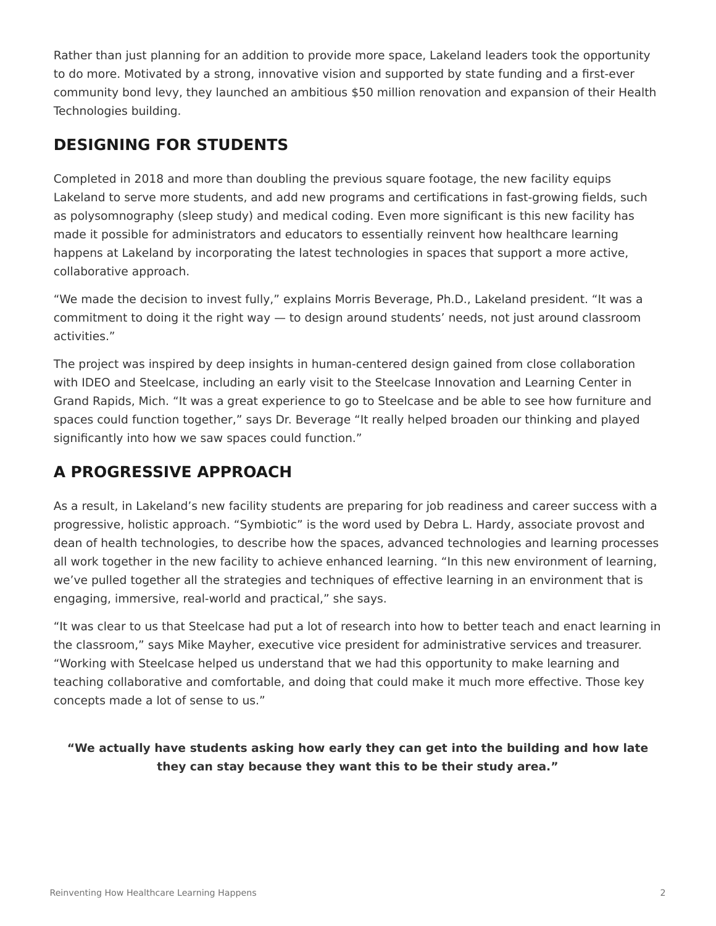Rather than just planning for an addition to provide more space, Lakeland leaders took the opportunity to do more. Motivated by a strong, innovative vision and supported by state funding and a first-ever community bond levy, they launched an ambitious \$50 million renovation and expansion of their Health Technologies building.

## **DESIGNING FOR STUDENTS**

Completed in 2018 and more than doubling the previous square footage, the new facility equips Lakeland to serve more students, and add new programs and certifications in fast-growing fields, such as polysomnography (sleep study) and medical coding. Even more significant is this new facility has made it possible for administrators and educators to essentially reinvent how healthcare learning happens at Lakeland by incorporating the latest technologies in spaces that support a more active, collaborative approach.

"We made the decision to invest fully," explains Morris Beverage, Ph.D., Lakeland president. "It was a commitment to doing it the right way — to design around students' needs, not just around classroom activities."

The project was inspired by deep insights in human-centered design gained from close collaboration with IDEO and Steelcase, including an early visit to the Steelcase Innovation and Learning Center in Grand Rapids, Mich. "It was a great experience to go to Steelcase and be able to see how furniture and spaces could function together," says Dr. Beverage "It really helped broaden our thinking and played significantly into how we saw spaces could function."

# **A PROGRESSIVE APPROACH**

As a result, in Lakeland's new facility students are preparing for job readiness and career success with a progressive, holistic approach. "Symbiotic" is the word used by Debra L. Hardy, associate provost and dean of health technologies, to describe how the spaces, advanced technologies and learning processes all work together in the new facility to achieve enhanced learning. "In this new environment of learning, we've pulled together all the strategies and techniques of effective learning in an environment that is engaging, immersive, real-world and practical," she says.

"It was clear to us that Steelcase had put a lot of research into how to better teach and enact learning in the classroom," says Mike Mayher, executive vice president for administrative services and treasurer. "Working with Steelcase helped us understand that we had this opportunity to make learning and teaching collaborative and comfortable, and doing that could make it much more effective. Those key concepts made a lot of sense to us."

**"We actually have students asking how early they can get into the building and how late they can stay because they want this to be their study area."**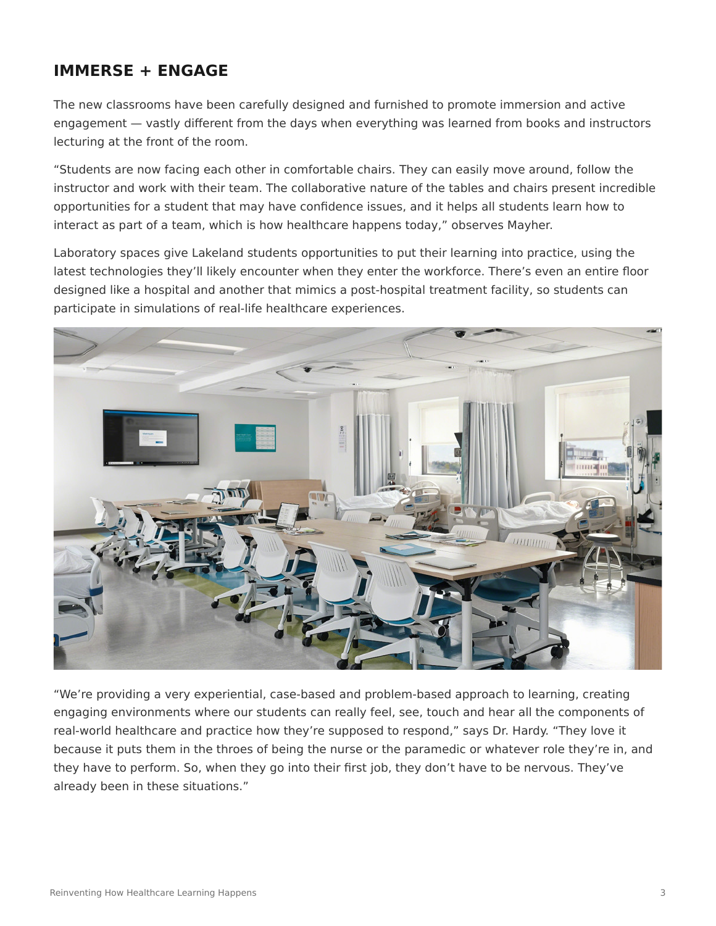## **IMMERSE + ENGAGE**

The new classrooms have been carefully designed and furnished to promote immersion and active engagement — vastly different from the days when everything was learned from books and instructors lecturing at the front of the room.

"Students are now facing each other in comfortable chairs. They can easily move around, follow the instructor and work with their team. The collaborative nature of the tables and chairs present incredible opportunities for a student that may have confidence issues, and it helps all students learn how to interact as part of a team, which is how healthcare happens today," observes Mayher.

Laboratory spaces give Lakeland students opportunities to put their learning into practice, using the latest technologies they'll likely encounter when they enter the workforce. There's even an entire floor designed like a hospital and another that mimics a post-hospital treatment facility, so students can participate in simulations of real-life healthcare experiences.



"We're providing a very experiential, case-based and problem-based approach to learning, creating engaging environments where our students can really feel, see, touch and hear all the components of real-world healthcare and practice how they're supposed to respond," says Dr. Hardy. "They love it because it puts them in the throes of being the nurse or the paramedic or whatever role they're in, and they have to perform. So, when they go into their first job, they don't have to be nervous. They've already been in these situations."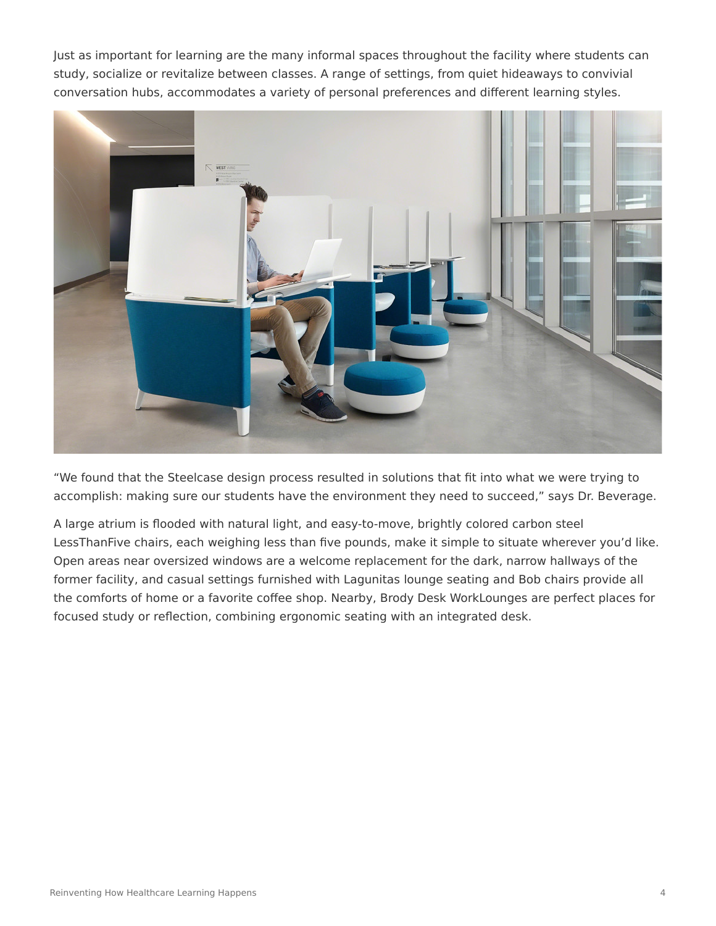Just as important for learning are the many informal spaces throughout the facility where students can study, socialize or revitalize between classes. A range of settings, from quiet hideaways to convivial conversation hubs, accommodates a variety of personal preferences and different learning styles.



"We found that the Steelcase design process resulted in solutions that fit into what we were trying to accomplish: making sure our students have the environment they need to succeed," says Dr. Beverage.

A large atrium is flooded with natural light, and easy-to-move, brightly colored carbon steel LessThanFive chairs, each weighing less than five pounds, make it simple to situate wherever you'd like. Open areas near oversized windows are a welcome replacement for the dark, narrow hallways of the former facility, and casual settings furnished with Lagunitas lounge seating and Bob chairs provide all the comforts of home or a favorite coffee shop. Nearby, Brody Desk WorkLounges are perfect places for focused study or reflection, combining ergonomic seating with an integrated desk.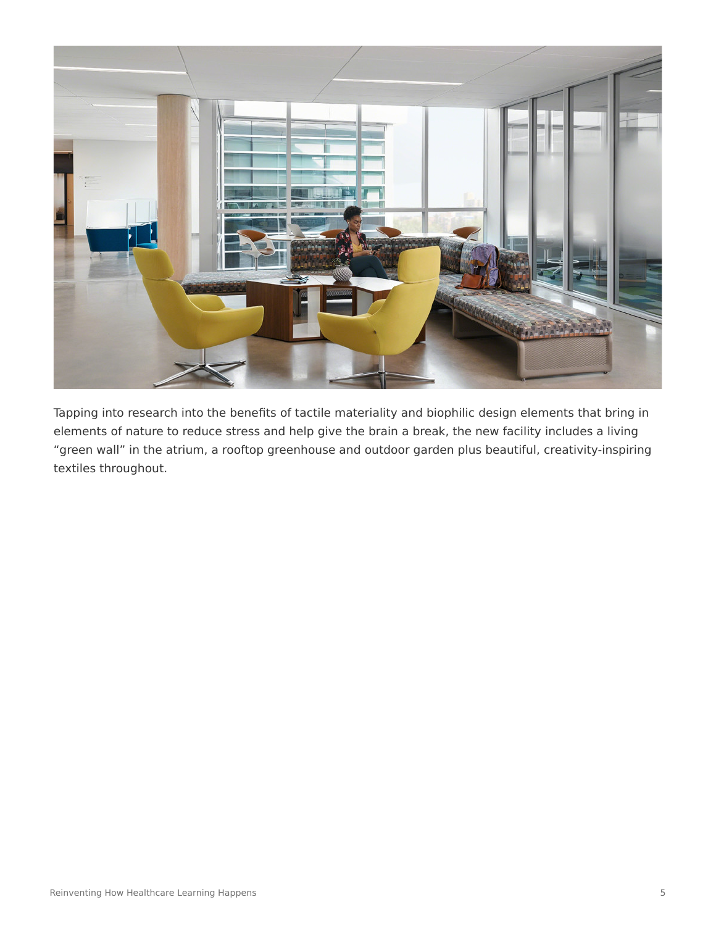

Tapping into research into the benefits of tactile materiality and biophilic design elements that bring in elements of nature to reduce stress and help give the brain a break, the new facility includes a living "green wall" in the atrium, a rooftop greenhouse and outdoor garden plus beautiful, creativity-inspiring textiles throughout.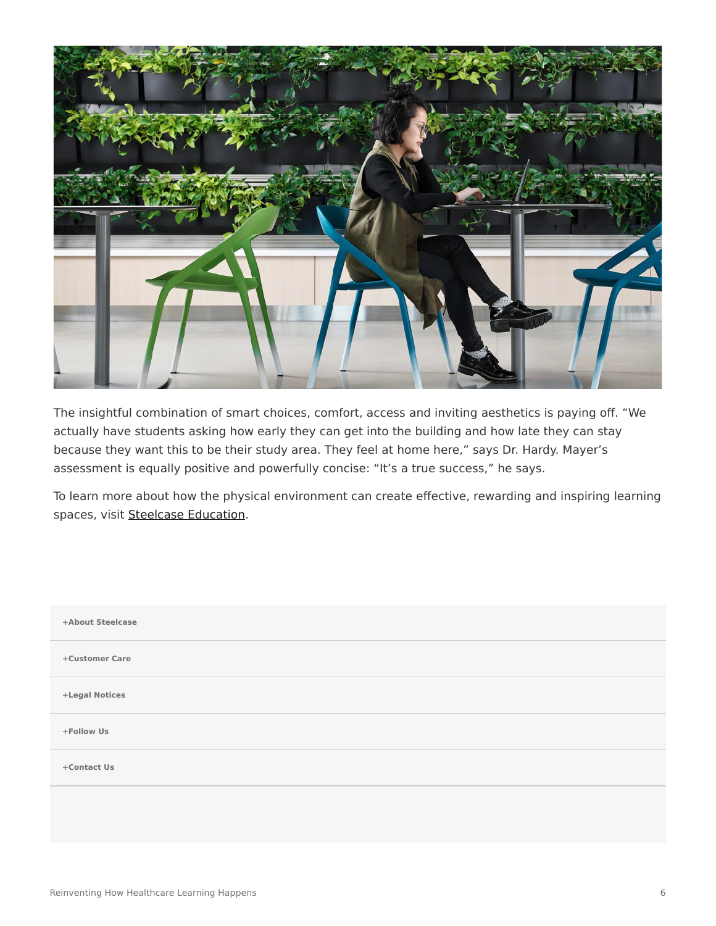

The insightful combination of smart choices, comfort, access and inviting aesthetics is paying off. "We actually have students asking how early they can get into the building and how late they can stay because they want this to be their study area. They feel at home here," says Dr. Hardy. Mayer's assessment is equally positive and powerfully concise: "It's a true success," he says.

To learn more about how the physical environment can create effective, rewarding and inspiring learning spaces, visit [Steelcase Education.](https://www.steelcase.com/eu-en/discover/information/education-professionals/)

| +About Steelcase |  |
|------------------|--|
| +Customer Care   |  |
| +Legal Notices   |  |
| +Follow Us       |  |
| +Contact Us      |  |
|                  |  |